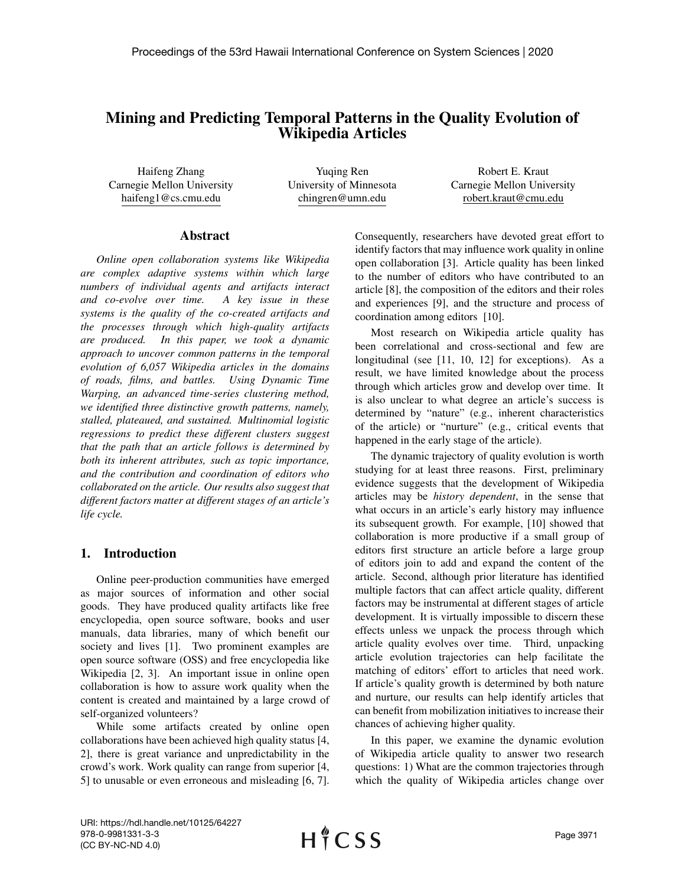# Mining and Predicting Temporal Patterns in the Quality Evolution of Wikipedia Articles

Haifeng Zhang Carnegie Mellon University haifeng1@cs.cmu.edu

Yuqing Ren University of Minnesota chingren@umn.edu

Robert E. Kraut Carnegie Mellon University robert.kraut@cmu.edu

## Abstract

*Online open collaboration systems like Wikipedia are complex adaptive systems within which large numbers of individual agents and artifacts interact and co-evolve over time. A key issue in these systems is the quality of the co-created artifacts and the processes through which high-quality artifacts are produced. In this paper, we took a dynamic approach to uncover common patterns in the temporal evolution of 6,057 Wikipedia articles in the domains of roads, films, and battles. Using Dynamic Time Warping, an advanced time-series clustering method, we identified three distinctive growth patterns, namely, stalled, plateaued, and sustained. Multinomial logistic regressions to predict these different clusters suggest that the path that an article follows is determined by both its inherent attributes, such as topic importance, and the contribution and coordination of editors who collaborated on the article. Our results also suggest that different factors matter at different stages of an article's life cycle.*

# 1. Introduction

Online peer-production communities have emerged as major sources of information and other social goods. They have produced quality artifacts like free encyclopedia, open source software, books and user manuals, data libraries, many of which benefit our society and lives [1]. Two prominent examples are open source software (OSS) and free encyclopedia like Wikipedia [2, 3]. An important issue in online open collaboration is how to assure work quality when the content is created and maintained by a large crowd of self-organized volunteers?

While some artifacts created by online open collaborations have been achieved high quality status [4, 2], there is great variance and unpredictability in the crowd's work. Work quality can range from superior [4, 5] to unusable or even erroneous and misleading [6, 7].

Consequently, researchers have devoted great effort to identify factors that may influence work quality in online open collaboration [3]. Article quality has been linked to the number of editors who have contributed to an article [8], the composition of the editors and their roles and experiences [9], and the structure and process of coordination among editors [10].

Most research on Wikipedia article quality has been correlational and cross-sectional and few are longitudinal (see [11, 10, 12] for exceptions). As a result, we have limited knowledge about the process through which articles grow and develop over time. It is also unclear to what degree an article's success is determined by "nature" (e.g., inherent characteristics of the article) or "nurture" (e.g., critical events that happened in the early stage of the article).

The dynamic trajectory of quality evolution is worth studying for at least three reasons. First, preliminary evidence suggests that the development of Wikipedia articles may be *history dependent*, in the sense that what occurs in an article's early history may influence its subsequent growth. For example, [10] showed that collaboration is more productive if a small group of editors first structure an article before a large group of editors join to add and expand the content of the article. Second, although prior literature has identified multiple factors that can affect article quality, different factors may be instrumental at different stages of article development. It is virtually impossible to discern these effects unless we unpack the process through which article quality evolves over time. Third, unpacking article evolution trajectories can help facilitate the matching of editors' effort to articles that need work. If article's quality growth is determined by both nature and nurture, our results can help identify articles that can benefit from mobilization initiatives to increase their chances of achieving higher quality.

In this paper, we examine the dynamic evolution of Wikipedia article quality to answer two research questions: 1) What are the common trajectories through which the quality of Wikipedia articles change over

URI: https://hdl.handle.net/10125/64227 978-0-9981331-3-3 (CC BY-NC-ND 4.0)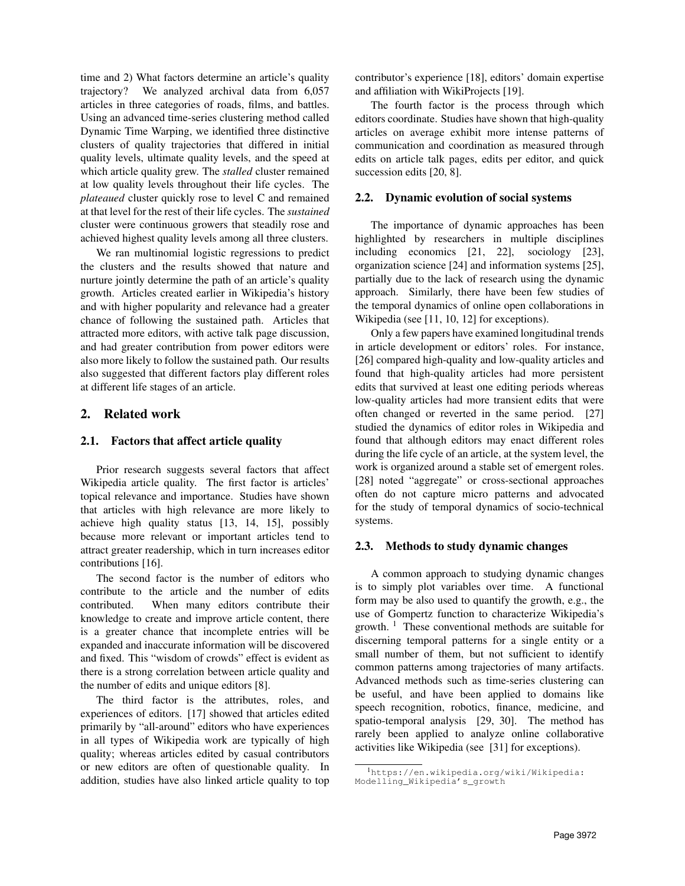time and 2) What factors determine an article's quality trajectory? We analyzed archival data from 6,057 articles in three categories of roads, films, and battles. Using an advanced time-series clustering method called Dynamic Time Warping, we identified three distinctive clusters of quality trajectories that differed in initial quality levels, ultimate quality levels, and the speed at which article quality grew. The *stalled* cluster remained at low quality levels throughout their life cycles. The *plateaued* cluster quickly rose to level C and remained at that level for the rest of their life cycles. The *sustained* cluster were continuous growers that steadily rose and achieved highest quality levels among all three clusters.

We ran multinomial logistic regressions to predict the clusters and the results showed that nature and nurture jointly determine the path of an article's quality growth. Articles created earlier in Wikipedia's history and with higher popularity and relevance had a greater chance of following the sustained path. Articles that attracted more editors, with active talk page discussion, and had greater contribution from power editors were also more likely to follow the sustained path. Our results also suggested that different factors play different roles at different life stages of an article.

# 2. Related work

#### 2.1. Factors that affect article quality

Prior research suggests several factors that affect Wikipedia article quality. The first factor is articles' topical relevance and importance. Studies have shown that articles with high relevance are more likely to achieve high quality status [13, 14, 15], possibly because more relevant or important articles tend to attract greater readership, which in turn increases editor contributions [16].

The second factor is the number of editors who contribute to the article and the number of edits contributed. When many editors contribute their knowledge to create and improve article content, there is a greater chance that incomplete entries will be expanded and inaccurate information will be discovered and fixed. This "wisdom of crowds" effect is evident as there is a strong correlation between article quality and the number of edits and unique editors [8].

The third factor is the attributes, roles, and experiences of editors. [17] showed that articles edited primarily by "all-around" editors who have experiences in all types of Wikipedia work are typically of high quality; whereas articles edited by casual contributors or new editors are often of questionable quality. In addition, studies have also linked article quality to top

contributor's experience [18], editors' domain expertise and affiliation with WikiProjects [19].

The fourth factor is the process through which editors coordinate. Studies have shown that high-quality articles on average exhibit more intense patterns of communication and coordination as measured through edits on article talk pages, edits per editor, and quick succession edits [20, 8].

#### 2.2. Dynamic evolution of social systems

The importance of dynamic approaches has been highlighted by researchers in multiple disciplines including economics [21, 22], sociology [23], organization science [24] and information systems [25], partially due to the lack of research using the dynamic approach. Similarly, there have been few studies of the temporal dynamics of online open collaborations in Wikipedia (see [11, 10, 12] for exceptions).

Only a few papers have examined longitudinal trends in article development or editors' roles. For instance, [26] compared high-quality and low-quality articles and found that high-quality articles had more persistent edits that survived at least one editing periods whereas low-quality articles had more transient edits that were often changed or reverted in the same period. [27] studied the dynamics of editor roles in Wikipedia and found that although editors may enact different roles during the life cycle of an article, at the system level, the work is organized around a stable set of emergent roles. [28] noted "aggregate" or cross-sectional approaches often do not capture micro patterns and advocated for the study of temporal dynamics of socio-technical systems.

## 2.3. Methods to study dynamic changes

A common approach to studying dynamic changes is to simply plot variables over time. A functional form may be also used to quantify the growth, e.g., the use of Gompertz function to characterize Wikipedia's growth.  $1$  These conventional methods are suitable for discerning temporal patterns for a single entity or a small number of them, but not sufficient to identify common patterns among trajectories of many artifacts. Advanced methods such as time-series clustering can be useful, and have been applied to domains like speech recognition, robotics, finance, medicine, and spatio-temporal analysis [29, 30]. The method has rarely been applied to analyze online collaborative activities like Wikipedia (see [31] for exceptions).

<sup>1</sup>https://en.wikipedia.org/wiki/Wikipedia: Modelling\_Wikipedia's\_growth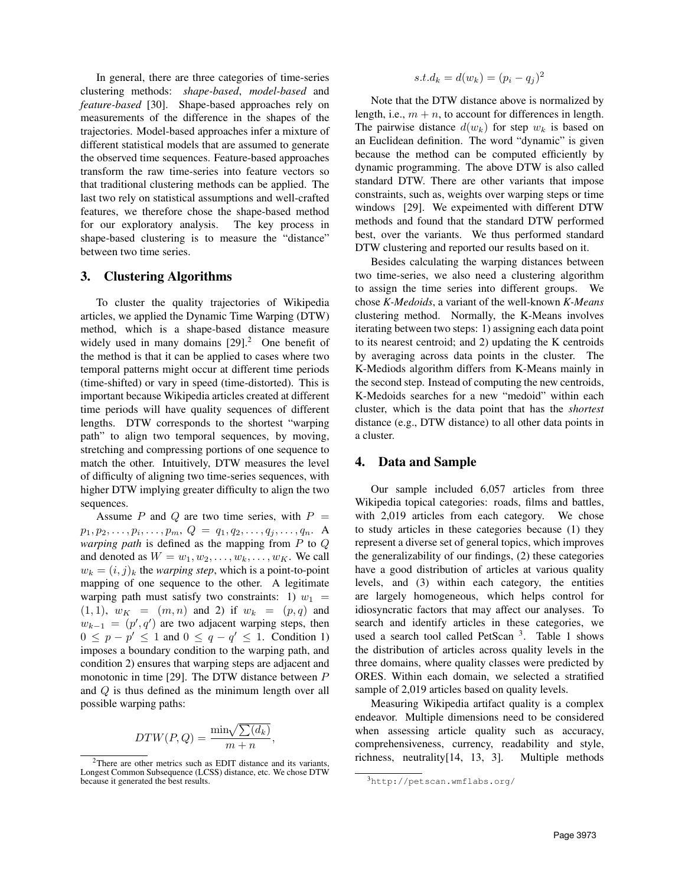In general, there are three categories of time-series clustering methods: *shape-based*, *model-based* and *feature-based* [30]. Shape-based approaches rely on measurements of the difference in the shapes of the trajectories. Model-based approaches infer a mixture of different statistical models that are assumed to generate the observed time sequences. Feature-based approaches transform the raw time-series into feature vectors so that traditional clustering methods can be applied. The last two rely on statistical assumptions and well-crafted features, we therefore chose the shape-based method for our exploratory analysis. The key process in shape-based clustering is to measure the "distance" between two time series.

## 3. Clustering Algorithms

To cluster the quality trajectories of Wikipedia articles, we applied the Dynamic Time Warping (DTW) method, which is a shape-based distance measure widely used in many domains  $[29]$ .<sup>2</sup> One benefit of the method is that it can be applied to cases where two temporal patterns might occur at different time periods (time-shifted) or vary in speed (time-distorted). This is important because Wikipedia articles created at different time periods will have quality sequences of different lengths. DTW corresponds to the shortest "warping path" to align two temporal sequences, by moving, stretching and compressing portions of one sequence to match the other. Intuitively, DTW measures the level of difficulty of aligning two time-series sequences, with higher DTW implying greater difficulty to align the two sequences.

Assume P and Q are two time series, with  $P =$  $p_1, p_2, \ldots, p_i, \ldots, p_m, \ Q = q_1, q_2, \ldots, q_j, \ldots, q_n$ . A *warping path* is defined as the mapping from P to Q and denoted as  $W = w_1, w_2, \dots, w_k, \dots, w_K$ . We call  $w_k = (i, j)_k$  the *warping step*, which is a point-to-point mapping of one sequence to the other. A legitimate warping path must satisfy two constraints: 1)  $w_1$  =  $(1, 1), w_K = (m, n)$  and 2) if  $w_k = (p, q)$  and  $w_{k-1} = (p', q')$  are two adjacent warping steps, then  $0 \leq p - p' \leq 1$  and  $0 \leq q - q' \leq 1$ . Condition 1) imposes a boundary condition to the warping path, and condition 2) ensures that warping steps are adjacent and monotonic in time [29]. The DTW distance between P and Q is thus defined as the minimum length over all possible warping paths:

$$
DTW(P,Q) = \frac{\min\sqrt{\sum(d_k)}}{m+n},
$$

$$
s.t. d_k = d(w_k) = (p_i - q_j)^2
$$

Note that the DTW distance above is normalized by length, i.e.,  $m + n$ , to account for differences in length. The pairwise distance  $d(w_k)$  for step  $w_k$  is based on an Euclidean definition. The word "dynamic" is given because the method can be computed efficiently by dynamic programming. The above DTW is also called standard DTW. There are other variants that impose constraints, such as, weights over warping steps or time windows [29]. We expeimented with different DTW methods and found that the standard DTW performed best, over the variants. We thus performed standard DTW clustering and reported our results based on it.

Besides calculating the warping distances between two time-series, we also need a clustering algorithm to assign the time series into different groups. We chose *K-Medoids*, a variant of the well-known *K-Means* clustering method. Normally, the K-Means involves iterating between two steps: 1) assigning each data point to its nearest centroid; and 2) updating the K centroids by averaging across data points in the cluster. The K-Mediods algorithm differs from K-Means mainly in the second step. Instead of computing the new centroids, K-Medoids searches for a new "medoid" within each cluster, which is the data point that has the *shortest* distance (e.g., DTW distance) to all other data points in a cluster.

# 4. Data and Sample

Our sample included 6,057 articles from three Wikipedia topical categories: roads, films and battles, with 2,019 articles from each category. We chose to study articles in these categories because (1) they represent a diverse set of general topics, which improves the generalizability of our findings, (2) these categories have a good distribution of articles at various quality levels, and (3) within each category, the entities are largely homogeneous, which helps control for idiosyncratic factors that may affect our analyses. To search and identify articles in these categories, we used a search tool called PetScan<sup>3</sup>. Table 1 shows the distribution of articles across quality levels in the three domains, where quality classes were predicted by ORES. Within each domain, we selected a stratified sample of 2,019 articles based on quality levels.

Measuring Wikipedia artifact quality is a complex endeavor. Multiple dimensions need to be considered when assessing article quality such as accuracy, comprehensiveness, currency, readability and style, richness, neutrality[14, 13, 3]. Multiple methods

 $2$ There are other metrics such as EDIT distance and its variants, Longest Common Subsequence (LCSS) distance, etc. We chose DTW because it generated the best results.

<sup>3</sup>http://petscan.wmflabs.org/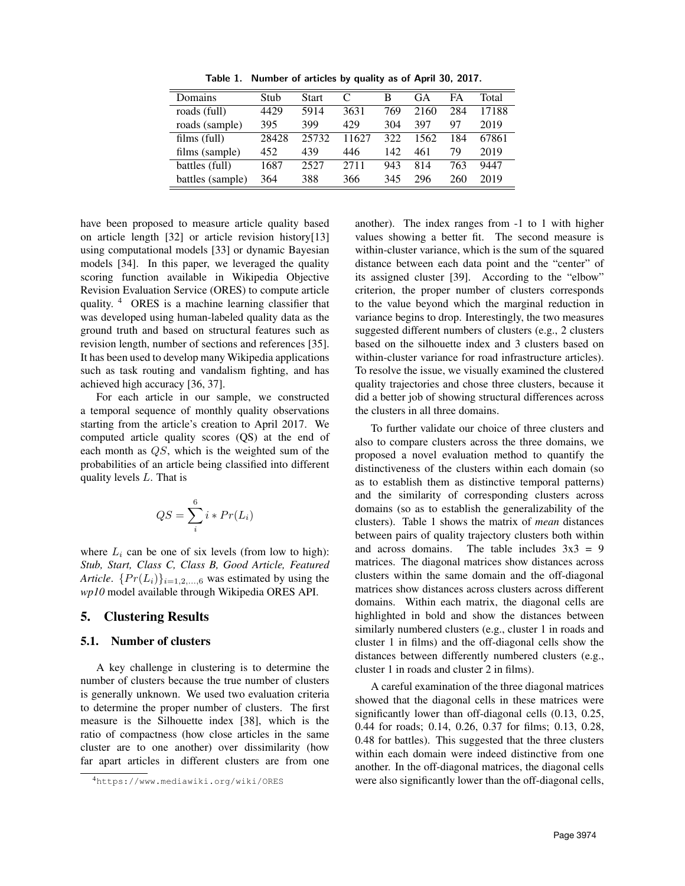| Domains          | Stub  | <b>Start</b> | C     | B   | GА   | FA  | Total |
|------------------|-------|--------------|-------|-----|------|-----|-------|
| roads (full)     | 4429  | 5914         | 3631  | 769 | 2160 | 284 | 17188 |
| roads (sample)   | 395   | 399          | 429   | 304 | 397  | 97  | 2019  |
| films (full)     | 28428 | 25732        | 11627 | 322 | 1562 | 184 | 67861 |
| films (sample)   | 452   | 439          | 446   | 142 | 461  | 79  | 2019  |
| battles (full)   | 1687  | 2527         | 2711  | 943 | 814  | 763 | 9447  |
| battles (sample) | 364   | 388          | 366   | 345 | 296  | 260 | 2019  |

Table 1. Number of articles by quality as of April 30, 2017.

have been proposed to measure article quality based on article length [32] or article revision history[13] using computational models [33] or dynamic Bayesian models [34]. In this paper, we leveraged the quality scoring function available in Wikipedia Objective Revision Evaluation Service (ORES) to compute article quality. <sup>4</sup> ORES is a machine learning classifier that was developed using human-labeled quality data as the ground truth and based on structural features such as revision length, number of sections and references [35]. It has been used to develop many Wikipedia applications such as task routing and vandalism fighting, and has achieved high accuracy [36, 37].

For each article in our sample, we constructed a temporal sequence of monthly quality observations starting from the article's creation to April 2017. We computed article quality scores (QS) at the end of each month as QS, which is the weighted sum of the probabilities of an article being classified into different quality levels L. That is

$$
QS = \sum_{i}^{6} i * Pr(L_i)
$$

where  $L_i$  can be one of six levels (from low to high): *Stub, Start, Class C, Class B, Good Article, Featured Article.*  $\{Pr(L_i)\}_{i=1,2,\dots,6}$  was estimated by using the *wp10* model available through Wikipedia ORES API.

## 5. Clustering Results

## 5.1. Number of clusters

A key challenge in clustering is to determine the number of clusters because the true number of clusters is generally unknown. We used two evaluation criteria to determine the proper number of clusters. The first measure is the Silhouette index [38], which is the ratio of compactness (how close articles in the same cluster are to one another) over dissimilarity (how far apart articles in different clusters are from one

another). The index ranges from -1 to 1 with higher values showing a better fit. The second measure is within-cluster variance, which is the sum of the squared distance between each data point and the "center" of its assigned cluster [39]. According to the "elbow" criterion, the proper number of clusters corresponds to the value beyond which the marginal reduction in variance begins to drop. Interestingly, the two measures suggested different numbers of clusters (e.g., 2 clusters based on the silhouette index and 3 clusters based on within-cluster variance for road infrastructure articles). To resolve the issue, we visually examined the clustered quality trajectories and chose three clusters, because it did a better job of showing structural differences across the clusters in all three domains.

To further validate our choice of three clusters and also to compare clusters across the three domains, we proposed a novel evaluation method to quantify the distinctiveness of the clusters within each domain (so as to establish them as distinctive temporal patterns) and the similarity of corresponding clusters across domains (so as to establish the generalizability of the clusters). Table 1 shows the matrix of *mean* distances between pairs of quality trajectory clusters both within and across domains. The table includes  $3x3 = 9$ matrices. The diagonal matrices show distances across clusters within the same domain and the off-diagonal matrices show distances across clusters across different domains. Within each matrix, the diagonal cells are highlighted in bold and show the distances between similarly numbered clusters (e.g., cluster 1 in roads and cluster 1 in films) and the off-diagonal cells show the distances between differently numbered clusters (e.g., cluster 1 in roads and cluster 2 in films).

A careful examination of the three diagonal matrices showed that the diagonal cells in these matrices were significantly lower than off-diagonal cells (0.13, 0.25, 0.44 for roads; 0.14, 0.26, 0.37 for films; 0.13, 0.28, 0.48 for battles). This suggested that the three clusters within each domain were indeed distinctive from one another. In the off-diagonal matrices, the diagonal cells were also significantly lower than the off-diagonal cells,

<sup>4</sup>https://www.mediawiki.org/wiki/ORES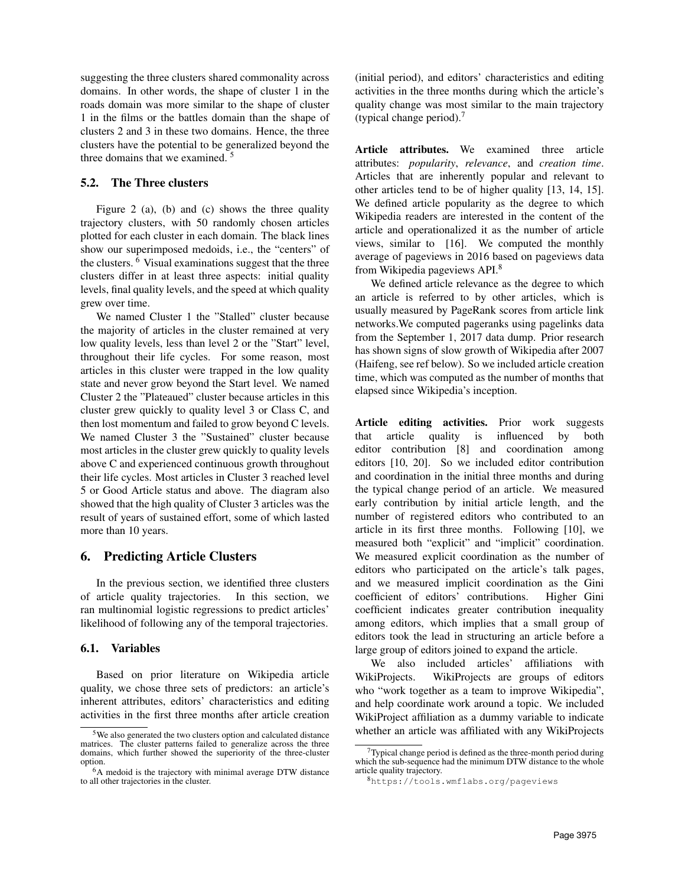suggesting the three clusters shared commonality across domains. In other words, the shape of cluster 1 in the roads domain was more similar to the shape of cluster 1 in the films or the battles domain than the shape of clusters 2 and 3 in these two domains. Hence, the three clusters have the potential to be generalized beyond the three domains that we examined. <sup>5</sup>

# 5.2. The Three clusters

Figure 2 (a), (b) and (c) shows the three quality trajectory clusters, with 50 randomly chosen articles plotted for each cluster in each domain. The black lines show our superimposed medoids, i.e., the "centers" of the clusters. <sup>6</sup> Visual examinations suggest that the three clusters differ in at least three aspects: initial quality levels, final quality levels, and the speed at which quality grew over time.

We named Cluster 1 the "Stalled" cluster because the majority of articles in the cluster remained at very low quality levels, less than level 2 or the "Start" level, throughout their life cycles. For some reason, most articles in this cluster were trapped in the low quality state and never grow beyond the Start level. We named Cluster 2 the "Plateaued" cluster because articles in this cluster grew quickly to quality level 3 or Class C, and then lost momentum and failed to grow beyond C levels. We named Cluster 3 the "Sustained" cluster because most articles in the cluster grew quickly to quality levels above C and experienced continuous growth throughout their life cycles. Most articles in Cluster 3 reached level 5 or Good Article status and above. The diagram also showed that the high quality of Cluster 3 articles was the result of years of sustained effort, some of which lasted more than 10 years.

# 6. Predicting Article Clusters

In the previous section, we identified three clusters of article quality trajectories. In this section, we ran multinomial logistic regressions to predict articles' likelihood of following any of the temporal trajectories.

#### 6.1. Variables

Based on prior literature on Wikipedia article quality, we chose three sets of predictors: an article's inherent attributes, editors' characteristics and editing activities in the first three months after article creation (initial period), and editors' characteristics and editing activities in the three months during which the article's quality change was most similar to the main trajectory (typical change period).<sup>7</sup>

Article attributes. We examined three article attributes: *popularity*, *relevance*, and *creation time*. Articles that are inherently popular and relevant to other articles tend to be of higher quality [13, 14, 15]. We defined article popularity as the degree to which Wikipedia readers are interested in the content of the article and operationalized it as the number of article views, similar to [16]. We computed the monthly average of pageviews in 2016 based on pageviews data from Wikipedia pageviews API.<sup>8</sup>

We defined article relevance as the degree to which an article is referred to by other articles, which is usually measured by PageRank scores from article link networks.We computed pageranks using pagelinks data from the September 1, 2017 data dump. Prior research has shown signs of slow growth of Wikipedia after 2007 (Haifeng, see ref below). So we included article creation time, which was computed as the number of months that elapsed since Wikipedia's inception.

Article editing activities. Prior work suggests that article quality is influenced by both editor contribution [8] and coordination among editors [10, 20]. So we included editor contribution and coordination in the initial three months and during the typical change period of an article. We measured early contribution by initial article length, and the number of registered editors who contributed to an article in its first three months. Following [10], we measured both "explicit" and "implicit" coordination. We measured explicit coordination as the number of editors who participated on the article's talk pages, and we measured implicit coordination as the Gini coefficient of editors' contributions. Higher Gini coefficient indicates greater contribution inequality among editors, which implies that a small group of editors took the lead in structuring an article before a large group of editors joined to expand the article.

We also included articles' affiliations with WikiProjects. WikiProjects are groups of editors who "work together as a team to improve Wikipedia", and help coordinate work around a topic. We included WikiProject affiliation as a dummy variable to indicate whether an article was affiliated with any WikiProjects

<sup>5</sup>We also generated the two clusters option and calculated distance matrices. The cluster patterns failed to generalize across the three domains, which further showed the superiority of the three-cluster option.

<sup>6</sup>A medoid is the trajectory with minimal average DTW distance to all other trajectories in the cluster.

 $7$ Typical change period is defined as the three-month period during which the sub-sequence had the minimum DTW distance to the whole article quality trajectory.

<sup>8</sup>https://tools.wmflabs.org/pageviews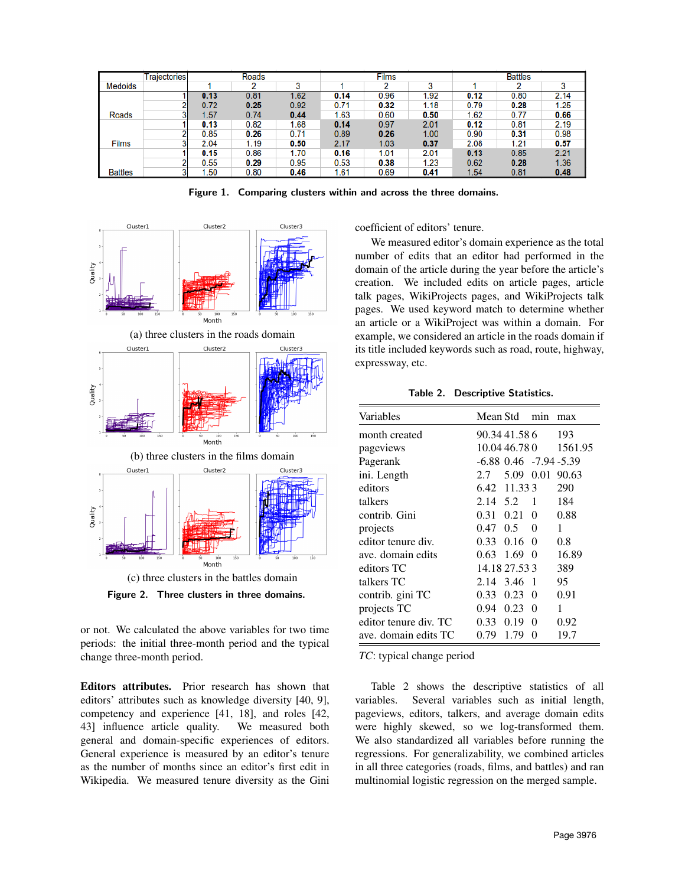|                | <b>Trajectories</b> |      | <b>Roads</b> |      |      | <b>Films</b> |                   |      | <b>Battles</b> |      |
|----------------|---------------------|------|--------------|------|------|--------------|-------------------|------|----------------|------|
| <b>Medoids</b> |                     |      | ົ            | o    |      | າ            | $\bullet$         |      | റ              | 3    |
|                |                     | 0.13 | 0.81         | 1.62 | 0.14 | 0.96         | 1.92              | 0.12 | 0.80           | 2.14 |
|                |                     | 0.72 | 0.25         | 0.92 | 0.71 | 0.32         | 1.18              | 0.79 | 0.28           | 1.25 |
| <b>Roads</b>   |                     | 1.57 | 0.74         | 0.44 | 1.63 | 0.60         | 0.50              | 1.62 | 0.77           | 0.66 |
|                |                     | 0.13 | 0.82         | 1.68 | 0.14 | 0.97         | 2.01              | 0.12 | 0.81           | 2.19 |
|                |                     | 0.85 | 0.26         | 0.71 | 0.89 | 0.26         | 1.00 <sub>1</sub> | 0.90 | 0.31           | 0.98 |
| <b>Films</b>   |                     | 2.04 | 1.19         | 0.50 | 2.17 | 1.03         | 0.37              | 2.08 | 1.21           | 0.57 |
|                |                     | 0.15 | 0.86         | 1.70 | 0.16 | 1.01         | 2.01              | 0.13 | 0.85           | 2.21 |
|                |                     | 0.55 | 0.29         | 0.95 | 0.53 | 0.38         | 1.23              | 0.62 | 0.28           | 1.36 |
| <b>Battles</b> |                     | 1.50 | 0.80         | 0.46 | 1.61 | 0.69         | 0.41              | 1.54 | 0.81           | 0.48 |

Figure 1. Comparing clusters within and across the three domains.



Quality

(c) three clusters in the battles domain

Figure 2. Three clusters in three domains.

or not. We calculated the above variables for two time periods: the initial three-month period and the typical change three-month period.

Editors attributes. Prior research has shown that editors' attributes such as knowledge diversity [40, 9], competency and experience [41, 18], and roles [42, 43] influence article quality. We measured both general and domain-specific experiences of editors. General experience is measured by an editor's tenure as the number of months since an editor's first edit in Wikipedia. We measured tenure diversity as the Gini coefficient of editors' tenure.

We measured editor's domain experience as the total number of edits that an editor had performed in the domain of the article during the year before the article's creation. We included edits on article pages, article talk pages, WikiProjects pages, and WikiProjects talk pages. We used keyword match to determine whether an article or a WikiProject was within a domain. For example, we considered an article in the roads domain if its title included keywords such as road, route, highway, expressway, etc.

Table 2. Descriptive Statistics.

| Variables             | Mean Std        |                              | min          | max     |
|-----------------------|-----------------|------------------------------|--------------|---------|
| month created         |                 | 90.34 41.58 6                |              | 193     |
| pageviews             |                 | 10.04 46.78 0                |              | 1561.95 |
| Pagerank              |                 | $-6.88$ 0.46 $-7.94$ $-5.39$ |              |         |
| ini. Length           | 2.7             | 5.09                         | 0.01         | 90.63   |
| editors               |                 | 6.42 11.333                  |              | 290     |
| talkers               | 2.14 5.2        |                              | -1           | 184     |
| contrib. Gini         | 0.31            | 0.21                         | $\Omega$     | 0.88    |
| projects              | $0.47\quad 0.5$ |                              | $\Omega$     | 1       |
| editor tenure div.    | 0.33            | 0.16                         | $\Omega$     | 0.8     |
| ave, domain edits     | 0.63            | 1.69                         | $\Omega$     | 16.89   |
| editors TC            |                 | 14.18 27.53 3                |              | 389     |
| talkers TC            | 2.14            | 3.46                         | $\mathbf{1}$ | 95      |
| contrib. gini TC      | 0.33            | 0.23                         | $\Omega$     | 0.91    |
| projects TC           | 0.94            | $0.23 \quad 0$               |              | 1       |
| editor tenure div. TC | 0.33            | 0.19                         | 0            | 0.92    |
| ave. domain edits TC  | 0.79            | 1.79                         | $\Omega$     | 19.7    |

*TC*: typical change period

Table 2 shows the descriptive statistics of all variables. Several variables such as initial length, pageviews, editors, talkers, and average domain edits were highly skewed, so we log-transformed them. We also standardized all variables before running the regressions. For generalizability, we combined articles in all three categories (roads, films, and battles) and ran multinomial logistic regression on the merged sample.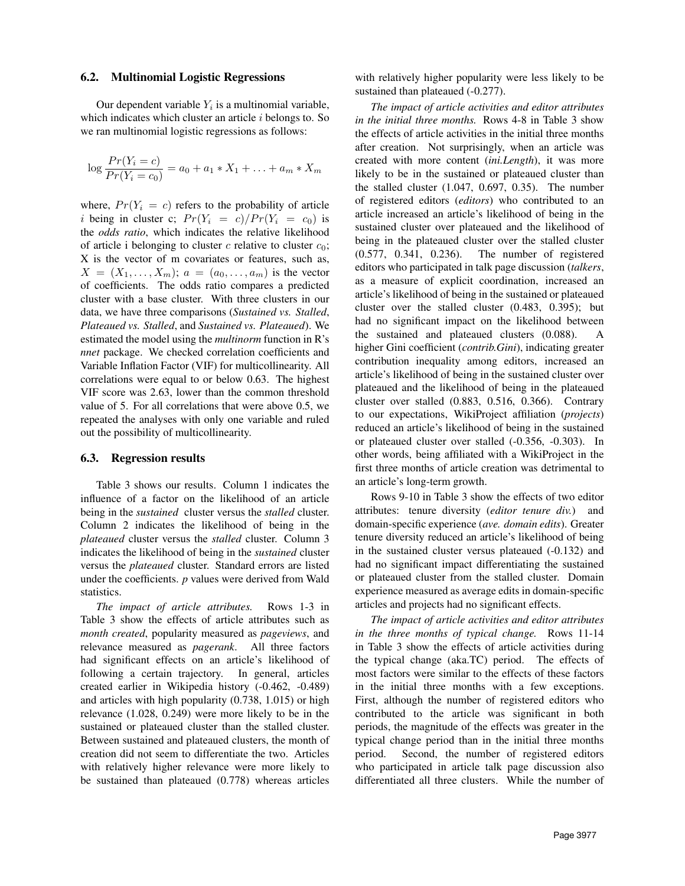#### 6.2. Multinomial Logistic Regressions

Our dependent variable  $Y_i$  is a multinomial variable, which indicates which cluster an article  $i$  belongs to. So we ran multinomial logistic regressions as follows:

$$
\log \frac{Pr(Y_i = c)}{Pr(Y_i = c_0)} = a_0 + a_1 * X_1 + \ldots + a_m * X_m
$$

where,  $Pr(Y_i = c)$  refers to the probability of article i being in cluster c;  $Pr(Y_i = c)/Pr(Y_i = c_0)$  is the *odds ratio*, which indicates the relative likelihood of article i belonging to cluster  $c$  relative to cluster  $c_0$ ; X is the vector of m covariates or features, such as,  $X = (X_1, \ldots, X_m); a = (a_0, \ldots, a_m)$  is the vector of coefficients. The odds ratio compares a predicted cluster with a base cluster. With three clusters in our data, we have three comparisons (*Sustained vs. Stalled*, *Plateaued vs. Stalled*, and *Sustained vs. Plateaued*). We estimated the model using the *multinorm* function in R's *nnet* package. We checked correlation coefficients and Variable Inflation Factor (VIF) for multicollinearity. All correlations were equal to or below 0.63. The highest VIF score was 2.63, lower than the common threshold value of 5. For all correlations that were above 0.5, we repeated the analyses with only one variable and ruled out the possibility of multicollinearity.

#### 6.3. Regression results

Table 3 shows our results. Column 1 indicates the influence of a factor on the likelihood of an article being in the *sustained* cluster versus the *stalled* cluster. Column 2 indicates the likelihood of being in the *plateaued* cluster versus the *stalled* cluster. Column 3 indicates the likelihood of being in the *sustained* cluster versus the *plateaued* cluster. Standard errors are listed under the coefficients. *p* values were derived from Wald statistics.

*The impact of article attributes.* Rows 1-3 in Table 3 show the effects of article attributes such as *month created*, popularity measured as *pageviews*, and relevance measured as *pagerank*. All three factors had significant effects on an article's likelihood of following a certain trajectory. In general, articles created earlier in Wikipedia history (-0.462, -0.489) and articles with high popularity (0.738, 1.015) or high relevance (1.028, 0.249) were more likely to be in the sustained or plateaued cluster than the stalled cluster. Between sustained and plateaued clusters, the month of creation did not seem to differentiate the two. Articles with relatively higher relevance were more likely to be sustained than plateaued (0.778) whereas articles with relatively higher popularity were less likely to be sustained than plateaued  $(-0.277)$ .

*The impact of article activities and editor attributes in the initial three months.* Rows 4-8 in Table 3 show the effects of article activities in the initial three months after creation. Not surprisingly, when an article was created with more content (*ini.Length*), it was more likely to be in the sustained or plateaued cluster than the stalled cluster (1.047, 0.697, 0.35). The number of registered editors (*editors*) who contributed to an article increased an article's likelihood of being in the sustained cluster over plateaued and the likelihood of being in the plateaued cluster over the stalled cluster (0.577, 0.341, 0.236). The number of registered editors who participated in talk page discussion (*talkers*, as a measure of explicit coordination, increased an article's likelihood of being in the sustained or plateaued cluster over the stalled cluster (0.483, 0.395); but had no significant impact on the likelihood between the sustained and plateaued clusters (0.088). A higher Gini coefficient (*contrib.Gini*), indicating greater contribution inequality among editors, increased an article's likelihood of being in the sustained cluster over plateaued and the likelihood of being in the plateaued cluster over stalled (0.883, 0.516, 0.366). Contrary to our expectations, WikiProject affiliation (*projects*) reduced an article's likelihood of being in the sustained or plateaued cluster over stalled (-0.356, -0.303). In other words, being affiliated with a WikiProject in the first three months of article creation was detrimental to an article's long-term growth.

Rows 9-10 in Table 3 show the effects of two editor attributes: tenure diversity (*editor tenure div.*) and domain-specific experience (*ave. domain edits*). Greater tenure diversity reduced an article's likelihood of being in the sustained cluster versus plateaued (-0.132) and had no significant impact differentiating the sustained or plateaued cluster from the stalled cluster. Domain experience measured as average edits in domain-specific articles and projects had no significant effects.

*The impact of article activities and editor attributes in the three months of typical change.* Rows 11-14 in Table 3 show the effects of article activities during the typical change (aka.TC) period. The effects of most factors were similar to the effects of these factors in the initial three months with a few exceptions. First, although the number of registered editors who contributed to the article was significant in both periods, the magnitude of the effects was greater in the typical change period than in the initial three months period. Second, the number of registered editors who participated in article talk page discussion also differentiated all three clusters. While the number of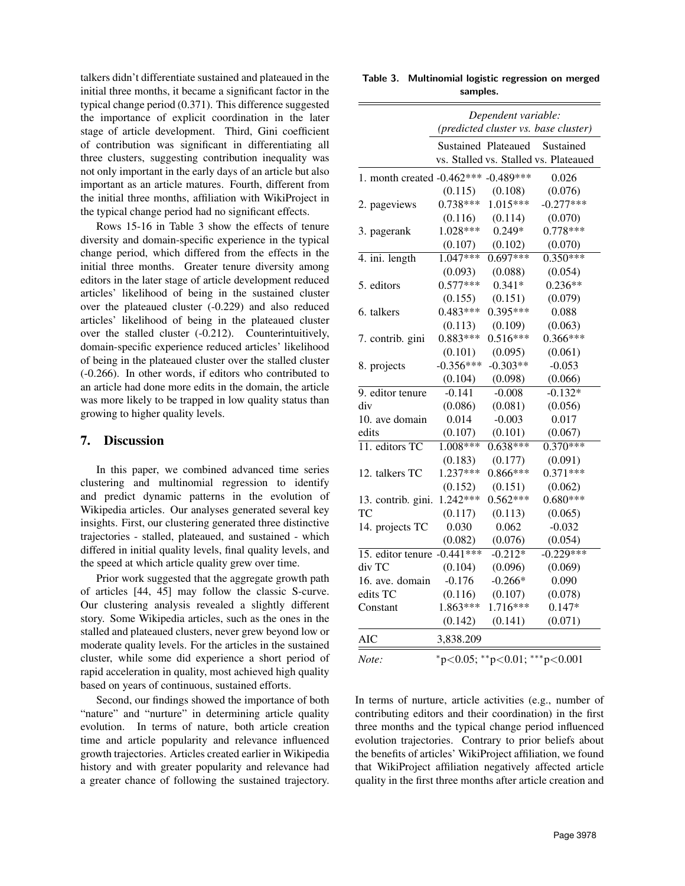talkers didn't differentiate sustained and plateaued in the initial three months, it became a significant factor in the typical change period (0.371). This difference suggested the importance of explicit coordination in the later stage of article development. Third, Gini coefficient of contribution was significant in differentiating all three clusters, suggesting contribution inequality was not only important in the early days of an article but also important as an article matures. Fourth, different from the initial three months, affiliation with WikiProject in the typical change period had no significant effects.

Rows 15-16 in Table 3 show the effects of tenure diversity and domain-specific experience in the typical change period, which differed from the effects in the initial three months. Greater tenure diversity among editors in the later stage of article development reduced articles' likelihood of being in the sustained cluster over the plateaued cluster (-0.229) and also reduced articles' likelihood of being in the plateaued cluster over the stalled cluster (-0.212). Counterintuitively, domain-specific experience reduced articles' likelihood of being in the plateaued cluster over the stalled cluster (-0.266). In other words, if editors who contributed to an article had done more edits in the domain, the article was more likely to be trapped in low quality status than growing to higher quality levels.

## 7. Discussion

In this paper, we combined advanced time series clustering and multinomial regression to identify and predict dynamic patterns in the evolution of Wikipedia articles. Our analyses generated several key insights. First, our clustering generated three distinctive trajectories - stalled, plateaued, and sustained - which differed in initial quality levels, final quality levels, and the speed at which article quality grew over time.

Prior work suggested that the aggregate growth path of articles [44, 45] may follow the classic S-curve. Our clustering analysis revealed a slightly different story. Some Wikipedia articles, such as the ones in the stalled and plateaued clusters, never grew beyond low or moderate quality levels. For the articles in the sustained cluster, while some did experience a short period of rapid acceleration in quality, most achieved high quality based on years of continuous, sustained efforts.

Second, our findings showed the importance of both "nature" and "nurture" in determining article quality evolution. In terms of nature, both article creation time and article popularity and relevance influenced growth trajectories. Articles created earlier in Wikipedia history and with greater popularity and relevance had a greater chance of following the sustained trajectory.

| Table 3. Multinomial logistic regression on merged |          |  |  |
|----------------------------------------------------|----------|--|--|
|                                                    | samples. |  |  |

|                                      | Dependent variable:<br>(predicted cluster vs. base cluster) |                     |                                       |  |  |  |
|--------------------------------------|-------------------------------------------------------------|---------------------|---------------------------------------|--|--|--|
|                                      |                                                             |                     |                                       |  |  |  |
|                                      |                                                             | Sustained Plateaued | Sustained                             |  |  |  |
|                                      |                                                             |                     | vs. Stalled vs. Stalled vs. Plateaued |  |  |  |
| 1. month created -0.462*** -0.489*** |                                                             |                     | 0.026                                 |  |  |  |
|                                      | (0.115)                                                     | (0.108)             | (0.076)                               |  |  |  |
| 2. pageviews                         | $0.738***$                                                  | $1.015***$          | $-0.277***$                           |  |  |  |
|                                      | (0.116)                                                     | (0.114)             | (0.070)                               |  |  |  |
| 3. pagerank                          | 1.028***                                                    | $0.249*$            | $0.778***$                            |  |  |  |
|                                      | (0.107)                                                     | (0.102)             | (0.070)                               |  |  |  |
| 4. ini. length                       | $1.047***$                                                  | $0.697***$          | $0.350***$                            |  |  |  |
|                                      | (0.093)                                                     | (0.088)             | (0.054)                               |  |  |  |
| 5. editors                           | $0.577***$                                                  | $0.341*$            | $0.236**$                             |  |  |  |
|                                      | (0.155)                                                     | (0.151)             | (0.079)                               |  |  |  |
| 6. talkers                           | $0.483***$                                                  | $0.395***$          | 0.088                                 |  |  |  |
|                                      | (0.113)                                                     | (0.109)             | (0.063)                               |  |  |  |
| 7. contrib. gini                     | $0.883***$                                                  | $0.516***$          | $0.366***$                            |  |  |  |
|                                      | (0.101)                                                     | (0.095)             | (0.061)                               |  |  |  |
| 8. projects                          | $-0.356***$                                                 | $-0.303**$          | $-0.053$                              |  |  |  |
|                                      | (0.104)                                                     | (0.098)             | (0.066)                               |  |  |  |
| 9. editor tenure                     | $-0.141$                                                    | $-0.008$            | $-0.132*$                             |  |  |  |
| div                                  | (0.086)                                                     | (0.081)             | (0.056)                               |  |  |  |
| 10. ave domain                       | 0.014                                                       | $-0.003$            | 0.017                                 |  |  |  |
| edits                                | (0.107)                                                     | (0.101)             | (0.067)                               |  |  |  |
| 11. editors TC                       | 1.008***                                                    | $0.638***$          | $0.370***$                            |  |  |  |
|                                      | (0.183)                                                     | (0.177)             | (0.091)                               |  |  |  |
| 12. talkers TC                       | $1.237***$                                                  | $0.866***$          | $0.371***$                            |  |  |  |
|                                      | (0.152)                                                     | (0.151)             | (0.062)                               |  |  |  |
| 13. contrib. gini.                   | 1.242***                                                    | $0.562***$          | $0.680***$                            |  |  |  |
| TC                                   | (0.117)                                                     | (0.113)             | (0.065)                               |  |  |  |
| 14. projects TC                      | 0.030                                                       | 0.062               | $-0.032$                              |  |  |  |
|                                      | (0.082)                                                     | (0.076)             | (0.054)                               |  |  |  |
| 15. editor tenure                    | $-0.441***$                                                 | $-0.212*$           | $-0.229***$                           |  |  |  |
| div TC                               | (0.104)                                                     | (0.096)             | (0.069)                               |  |  |  |
| 16. ave. domain                      | $-0.176$                                                    | $-0.266*$           | 0.090                                 |  |  |  |
| edits TC                             | (0.116)                                                     | (0.107)             | (0.078)                               |  |  |  |
| Constant                             | $1.863***$                                                  | $1.716***$          | $0.147*$                              |  |  |  |
|                                      | (0.142)                                                     | (0.141)             | (0.071)                               |  |  |  |
| AIC                                  | 3,838.209                                                   |                     |                                       |  |  |  |
| Note:                                |                                                             |                     | *p<0.05; **p<0.01; ***p<0.001         |  |  |  |
|                                      |                                                             |                     |                                       |  |  |  |

In terms of nurture, article activities (e.g., number of contributing editors and their coordination) in the first three months and the typical change period influenced evolution trajectories. Contrary to prior beliefs about the benefits of articles' WikiProject affiliation, we found that WikiProject affiliation negatively affected article quality in the first three months after article creation and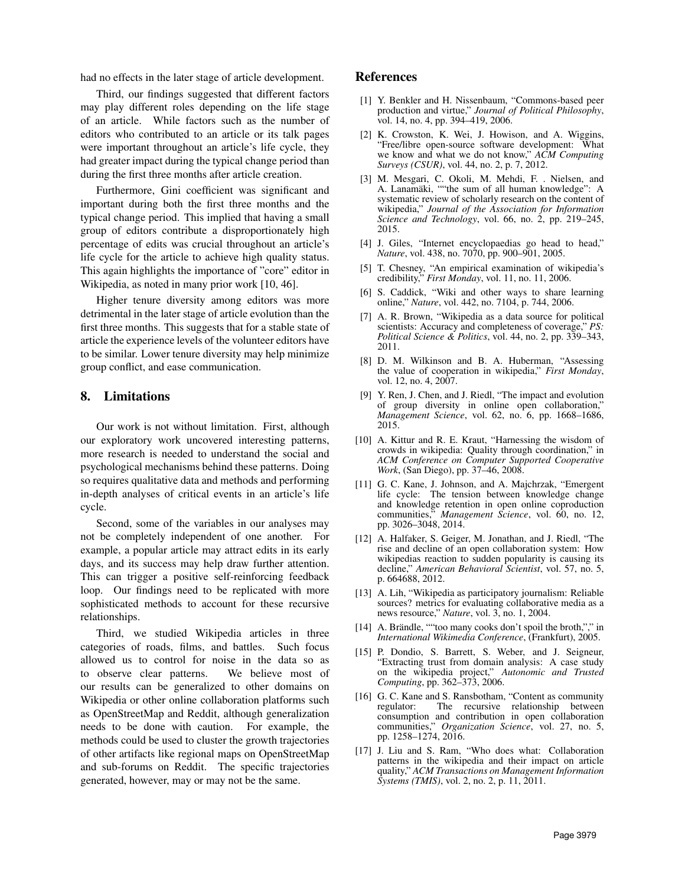had no effects in the later stage of article development.

Third, our findings suggested that different factors may play different roles depending on the life stage of an article. While factors such as the number of editors who contributed to an article or its talk pages were important throughout an article's life cycle, they had greater impact during the typical change period than during the first three months after article creation.

Furthermore, Gini coefficient was significant and important during both the first three months and the typical change period. This implied that having a small group of editors contribute a disproportionately high percentage of edits was crucial throughout an article's life cycle for the article to achieve high quality status. This again highlights the importance of "core" editor in Wikipedia, as noted in many prior work [10, 46].

Higher tenure diversity among editors was more detrimental in the later stage of article evolution than the first three months. This suggests that for a stable state of article the experience levels of the volunteer editors have to be similar. Lower tenure diversity may help minimize group conflict, and ease communication.

# 8. Limitations

Our work is not without limitation. First, although our exploratory work uncovered interesting patterns, more research is needed to understand the social and psychological mechanisms behind these patterns. Doing so requires qualitative data and methods and performing in-depth analyses of critical events in an article's life cycle.

Second, some of the variables in our analyses may not be completely independent of one another. For example, a popular article may attract edits in its early days, and its success may help draw further attention. This can trigger a positive self-reinforcing feedback loop. Our findings need to be replicated with more sophisticated methods to account for these recursive relationships.

Third, we studied Wikipedia articles in three categories of roads, films, and battles. Such focus allowed us to control for noise in the data so as to observe clear patterns. We believe most of our results can be generalized to other domains on Wikipedia or other online collaboration platforms such as OpenStreetMap and Reddit, although generalization needs to be done with caution. For example, the methods could be used to cluster the growth trajectories of other artifacts like regional maps on OpenStreetMap and sub-forums on Reddit. The specific trajectories generated, however, may or may not be the same.

# References

- [1] Y. Benkler and H. Nissenbaum, "Commons-based peer production and virtue," *Journal of Political Philosophy*, vol. 14, no. 4, pp. 394–419, 2006.
- [2] K. Crowston, K. Wei, J. Howison, and A. Wiggins, "Free/libre open-source software development: What we know and what we do not know," *ACM Computing Surveys (CSUR)*, vol. 44, no. 2, p. 7, 2012.
- [3] M. Mesgari, C. Okoli, M. Mehdi, F. . Nielsen, and A. Lanamäki, ""the sum of all human knowledge": A systematic review of scholarly research on the content of wikipedia," *Journal of the Association for Information* Science and Technology, vol. 66, no. 2, pp. 219-245, 2015.
- [4] J. Giles, "Internet encyclopaedias go head to head," *Nature*, vol. 438, no. 7070, pp. 900–901, 2005.
- [5] T. Chesney, "An empirical examination of wikipedia's credibility," *First Monday*, vol. 11, no. 11, 2006.
- [6] S. Caddick, "Wiki and other ways to share learning online," *Nature*, vol. 442, no. 7104, p. 744, 2006.
- [7] A. R. Brown, "Wikipedia as a data source for political scientists: Accuracy and completeness of coverage," *PS: Political Science & Politics*, vol. 44, no. 2, pp. 339–343, 2011.
- [8] D. M. Wilkinson and B. A. Huberman, "Assessing the value of cooperation in wikipedia," *First Monday*, vol. 12, no. 4, 2007.
- [9] Y. Ren, J. Chen, and J. Riedl, "The impact and evolution of group diversity in online open collaboration," *Management Science*, vol. 62, no. 6, pp. 1668–1686, 2015.
- [10] A. Kittur and R. E. Kraut, "Harnessing the wisdom of crowds in wikipedia: Quality through coordination," in *ACM Conference on Computer Supported Cooperative Work*, (San Diego), pp. 37–46, 2008.
- [11] G. C. Kane, J. Johnson, and A. Majchrzak, "Emergent life cycle: The tension between knowledge change and knowledge retention in open online coproduction communities," *Management Science*, vol. 60, no. 12, pp. 3026–3048, 2014.
- [12] A. Halfaker, S. Geiger, M. Jonathan, and J. Riedl, "The rise and decline of an open collaboration system: How wikipedias reaction to sudden popularity is causing its decline," *American Behavioral Scientist*, vol. 57, no. 5, p. 664688, 2012.
- [13] A. Lih, "Wikipedia as participatory journalism: Reliable sources? metrics for evaluating collaborative media as a news resource," *Nature*, vol. 3, no. 1, 2004.
- [14] A. Brändle, ""too many cooks don't spoil the broth,"," in *International Wikimedia Conference*, (Frankfurt), 2005.
- [15] P. Dondio, S. Barrett, S. Weber, and J. Seigneur, "Extracting trust from domain analysis: A case study on the wikipedia project," *Autonomic and Trusted Computing*, pp. 362–373, 2006.
- [16] G. C. Kane and S. Ransbotham, "Content as community The recursive relationship between consumption and contribution in open collaboration communities," *Organization Science*, vol. 27, no. 5, pp. 1258–1274, 2016.
- [17] J. Liu and S. Ram, "Who does what: Collaboration patterns in the wikipedia and their impact on article quality," *ACM Transactions on Management Information Systems (TMIS)*, vol. 2, no. 2, p. 11, 2011.